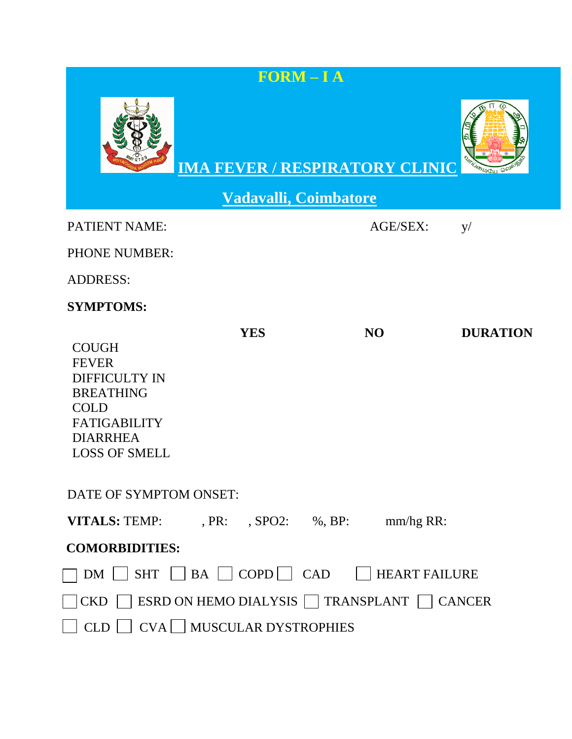|                                                                                                                                                           |                                        | <b>FORM-IA</b><br><b>IMA FEVER / RESPIRATORY CLINIC</b><br>Vadavalli, Coimbatore                        | <b>ITILIGOVIOCILL</b><br>ெ |  |  |  |  |
|-----------------------------------------------------------------------------------------------------------------------------------------------------------|----------------------------------------|---------------------------------------------------------------------------------------------------------|----------------------------|--|--|--|--|
| <b>PATIENT NAME:</b>                                                                                                                                      |                                        | <b>AGE/SEX:</b>                                                                                         | V/                         |  |  |  |  |
| <b>PHONE NUMBER:</b>                                                                                                                                      |                                        |                                                                                                         |                            |  |  |  |  |
| <b>ADDRESS:</b>                                                                                                                                           |                                        |                                                                                                         |                            |  |  |  |  |
| <b>SYMPTOMS:</b>                                                                                                                                          |                                        |                                                                                                         |                            |  |  |  |  |
| <b>COUGH</b><br><b>FEVER</b><br><b>DIFFICULTY IN</b><br><b>BREATHING</b><br><b>COLD</b><br><b>FATIGABILITY</b><br><b>DIARRHEA</b><br><b>LOSS OF SMELL</b> | <b>YES</b>                             | N <sub>O</sub>                                                                                          | <b>DURATION</b>            |  |  |  |  |
| DATE OF SYMPTOM ONSET:                                                                                                                                    |                                        |                                                                                                         |                            |  |  |  |  |
|                                                                                                                                                           |                                        | VITALS: TEMP: , PR: , SPO2: %, BP: mm/hg RR:                                                            |                            |  |  |  |  |
| <b>COMORBIDITIES:</b><br>CKD                                                                                                                              |                                        | $DM \cup SHT \cup BA \cup COPD \cup CAD \cup HEART FAILURE$<br>ESRD ON HEMO DIALYSIS TRANSPLANT TCANCER |                            |  |  |  |  |
| <b>CLD</b>                                                                                                                                                | $\Box$ CVA $\Box$ MUSCULAR DYSTROPHIES |                                                                                                         |                            |  |  |  |  |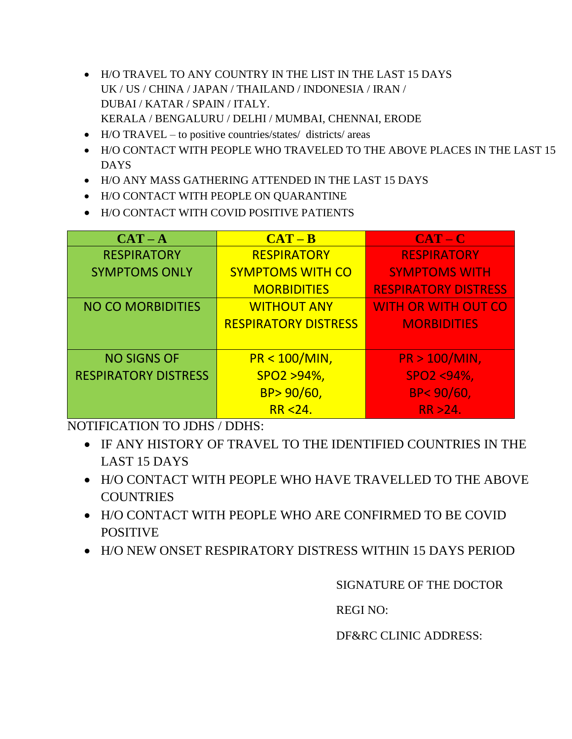- H/O TRAVEL TO ANY COUNTRY IN THE LIST IN THE LAST 15 DAYS UK / US / CHINA / JAPAN / THAILAND / INDONESIA / IRAN / DUBAI / KATAR / SPAIN / ITALY. KERALA / BENGALURU / DELHI / MUMBAI, CHENNAI, ERODE
- H/O TRAVEL to positive countries/states/ districts/ areas
- H/O CONTACT WITH PEOPLE WHO TRAVELED TO THE ABOVE PLACES IN THE LAST 15 DAYS
- H/O ANY MASS GATHERING ATTENDED IN THE LAST 15 DAYS
- H/O CONTACT WITH PEOPLE ON QUARANTINE
- H/O CONTACT WITH COVID POSITIVE PATIENTS

| $CAT - A$                   | $CAT - B$                   | $CAT - C$                   |  |
|-----------------------------|-----------------------------|-----------------------------|--|
| <b>RESPIRATORY</b>          | <b>RESPIRATORY</b>          | <b>RESPIRATORY</b>          |  |
| <b>SYMPTOMS ONLY</b>        | <b>SYMPTOMS WITH CO</b>     | <b>SYMPTOMS WITH</b>        |  |
|                             | <b>MORBIDITIES</b>          | <b>RESPIRATORY DISTRESS</b> |  |
| <b>NO CO MORBIDITIES</b>    | <b>WITHOUT ANY</b>          | <b>WITH OR WITH OUT CO</b>  |  |
|                             | <b>RESPIRATORY DISTRESS</b> | <b>MORBIDITIES</b>          |  |
|                             |                             |                             |  |
| <b>NO SIGNS OF</b>          | $PR < 100/MIN$ ,            | PR > 100/MIN,               |  |
| <b>RESPIRATORY DISTRESS</b> | SPO2 >94%,                  | SPO2 <94%,                  |  |
|                             | BP> 90/60,                  | BP<90/60,                   |  |
|                             | $RR < 24$ .                 | RR > 24.                    |  |

NOTIFICATION TO JDHS / DDHS:

- IF ANY HISTORY OF TRAVEL TO THE IDENTIFIED COUNTRIES IN THE LAST 15 DAYS
- H/O CONTACT WITH PEOPLE WHO HAVE TRAVELLED TO THE ABOVE **COUNTRIES**
- H/O CONTACT WITH PEOPLE WHO ARE CONFIRMED TO BE COVID POSITIVE
- H/O NEW ONSET RESPIRATORY DISTRESS WITHIN 15 DAYS PERIOD

SIGNATURE OF THE DOCTOR

REGI NO:

DF&RC CLINIC ADDRESS: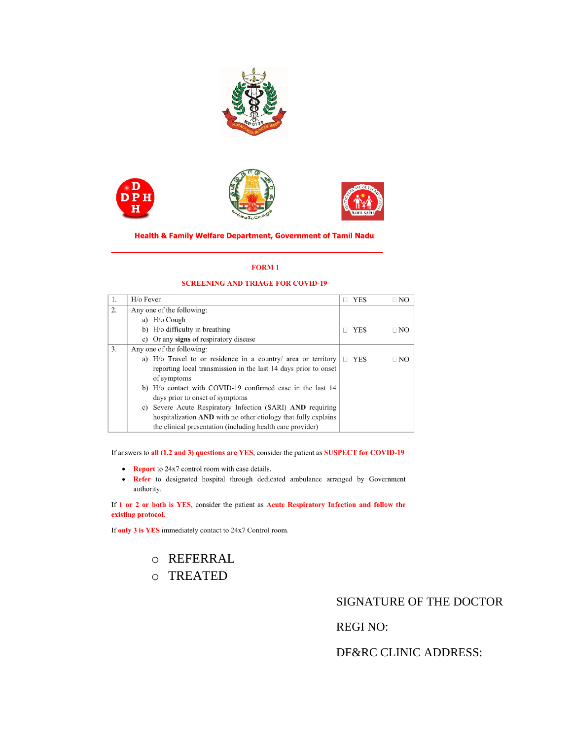







Health & Family Welfare Department, Government of Tamil Nadu

#### **FORM1**

#### **SCREENING AND TRIAGE FOR COVID-19**

| 1.               | $H$ / $\alpha$ Fever                                                           | <b>YES</b> | $\Box$ NO |
|------------------|--------------------------------------------------------------------------------|------------|-----------|
| 2.               | Any one of the following:                                                      |            |           |
|                  | a) $H/o$ Cough                                                                 |            |           |
|                  | b) H/o difficulty in breathing                                                 | <b>YES</b> | $\Box$ No |
|                  | c) Or any signs of respiratory disease                                         |            |           |
| $\overline{3}$ . | Any one of the following:                                                      |            |           |
|                  | a) $H$ /o Travel to or residence in a country/ area or territory               | <b>YES</b> | $\Box$ NO |
|                  | reporting local transmission in the last 14 days prior to onset<br>of symptoms |            |           |
|                  | b) H/o contact with COVID-19 confirmed case in the last 14                     |            |           |
|                  | days prior to onset of symptoms                                                |            |           |
|                  | c) Severe Acute Respiratory Infection (SARI) AND requiring                     |            |           |
|                  | hospitalization <b>AND</b> with no other etiology that fully explains          |            |           |
|                  | the clinical presentation (including health care provider)                     |            |           |

If answers to all (1,2 and 3) questions are YES, consider the patient as SUSPECT for COVID-19

- Report to 24x7 control room with case details.
- Refer to designated hospital through dedicated ambulance arranged by Government  $\bullet$ authority.

If 1 or 2 or both is YES, consider the patient as Acute Respiratory Infection and follow the existing protocol.

If only 3 is YES immediately contact to 24x7 Control room.

o REFERRAL

o TREATED

## SIGNATURE OF THE DOCTOR

### REGI NO:

### DF&RC CLINIC ADDRESS: